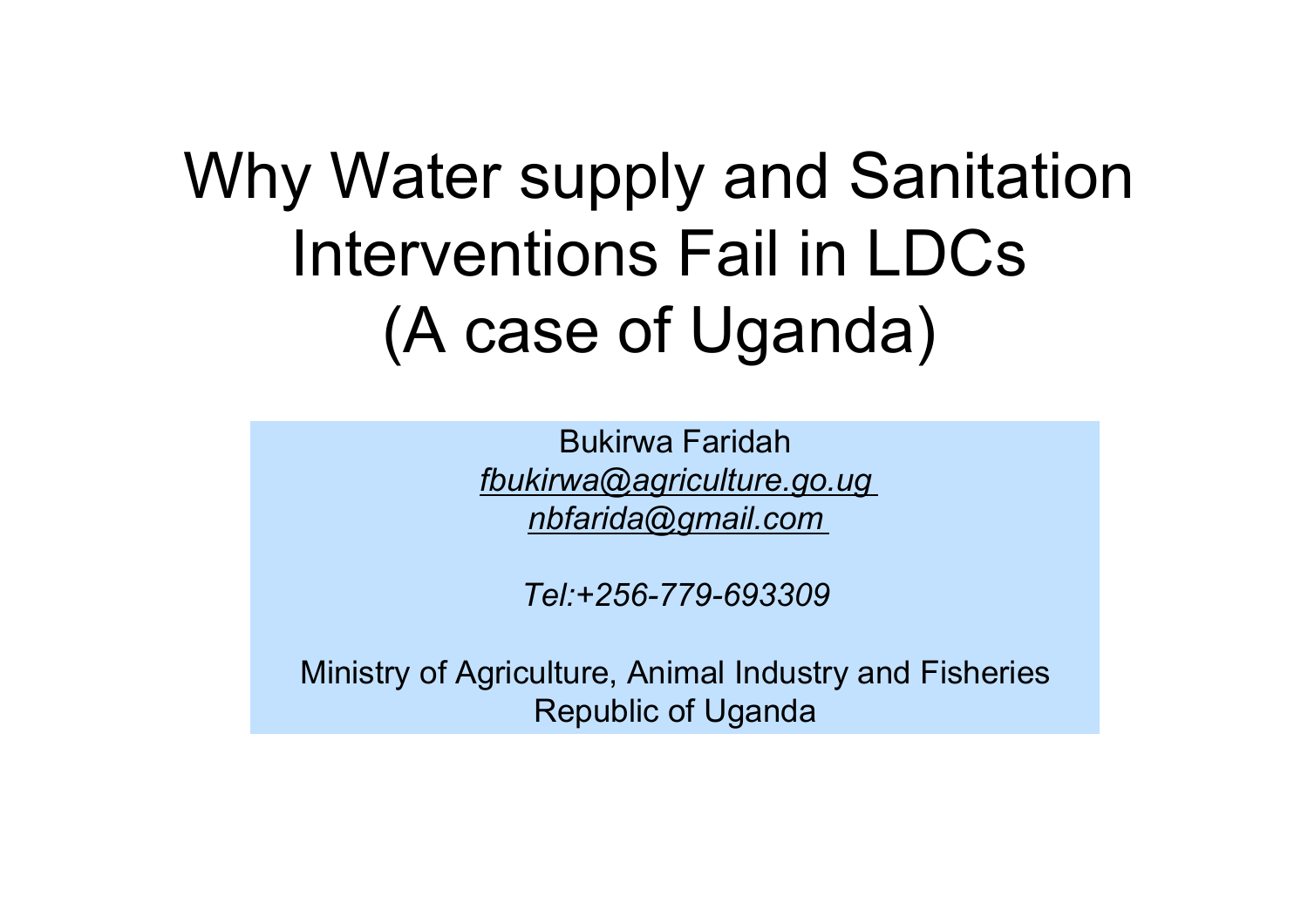## Why Water supply and Sanitation Interventions Fail in LDCs (A case of Uganda)

Bukirwa Faridah *fbukirwa@agriculture.go.ug nbfarida@gmail.com*

*Tel:+256-779-693309* 

Ministry of Agriculture, Animal Industry and Fisheries Republic of Uganda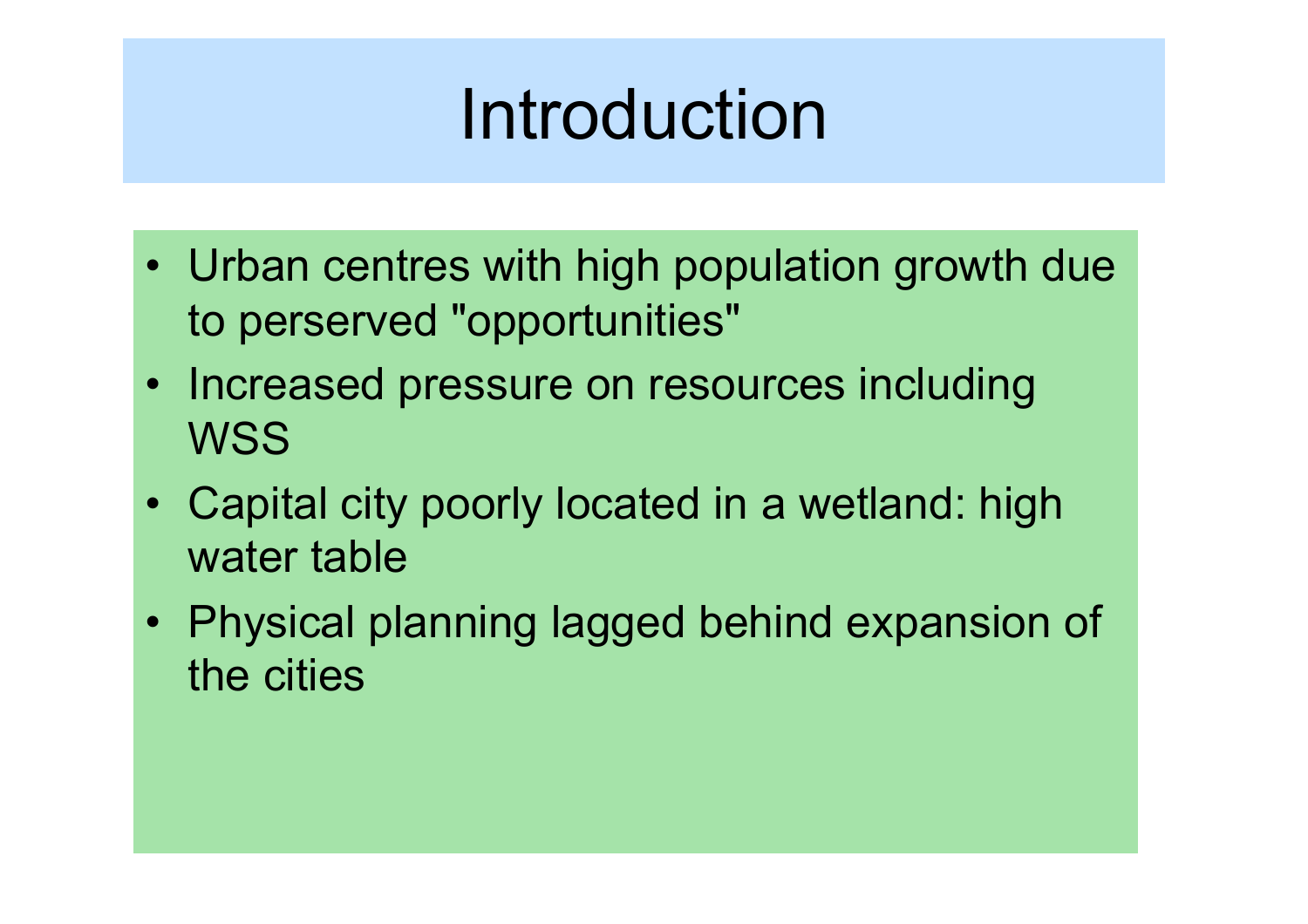## Introduction

- Urban centres with high population growth due to perserved "opportunities"
- Increased pressure on resources including **WSS**
- Capital city poorly located in a wetland: high water table
- Physical planning lagged behind expansion of the cities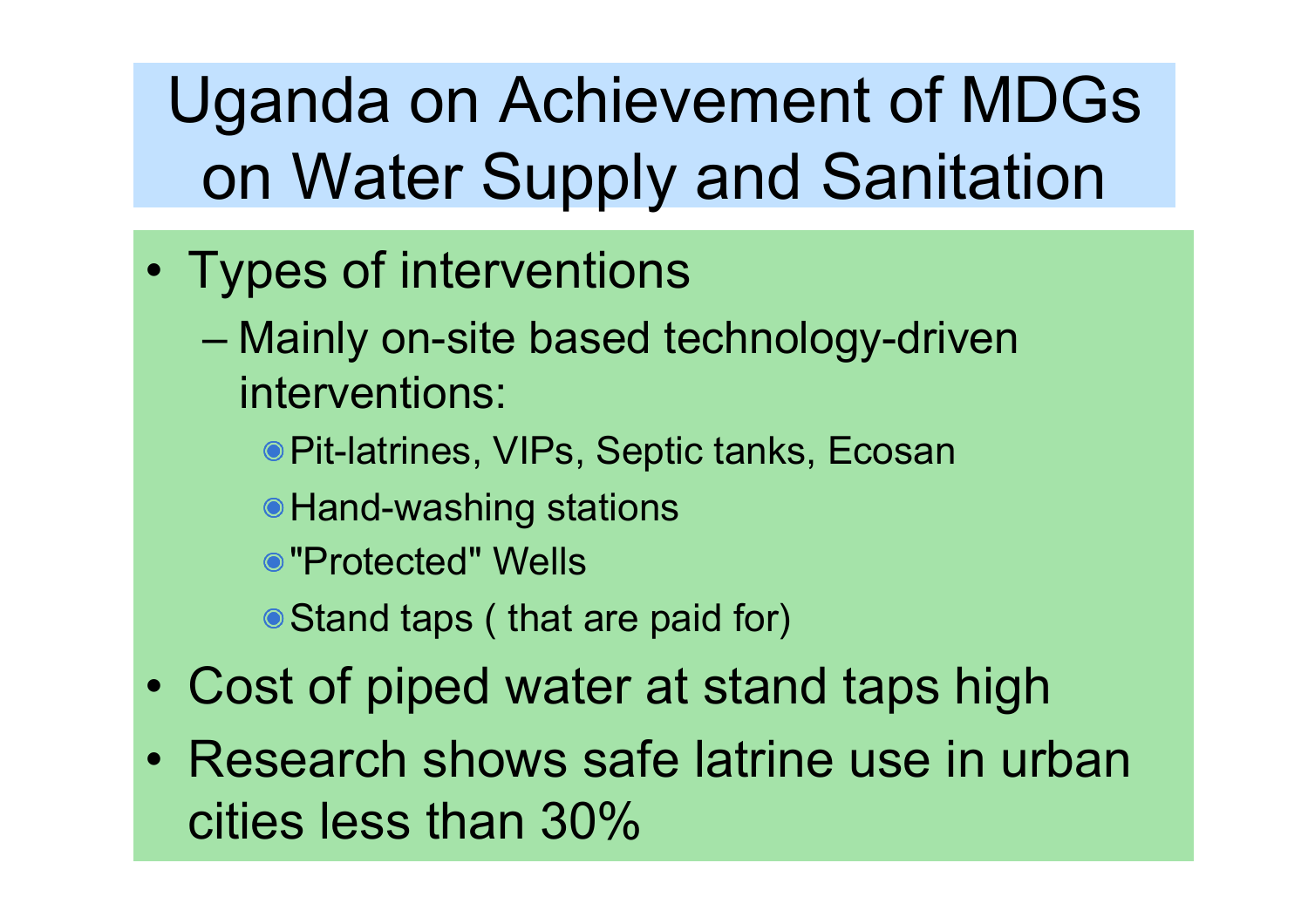Uganda on Achievement of MDGs on Water Supply and Sanitation

- Types of interventions
	- Mainly on-site based technology-driven interventions:
		- Pit-latrines, VIPs, Septic tanks, Ecosan
		- Hand-washing stations
		- "Protected" Wells
		- Stand taps ( that are paid for)
- Cost of piped water at stand taps high
- Research shows safe latrine use in urban cities less than 30%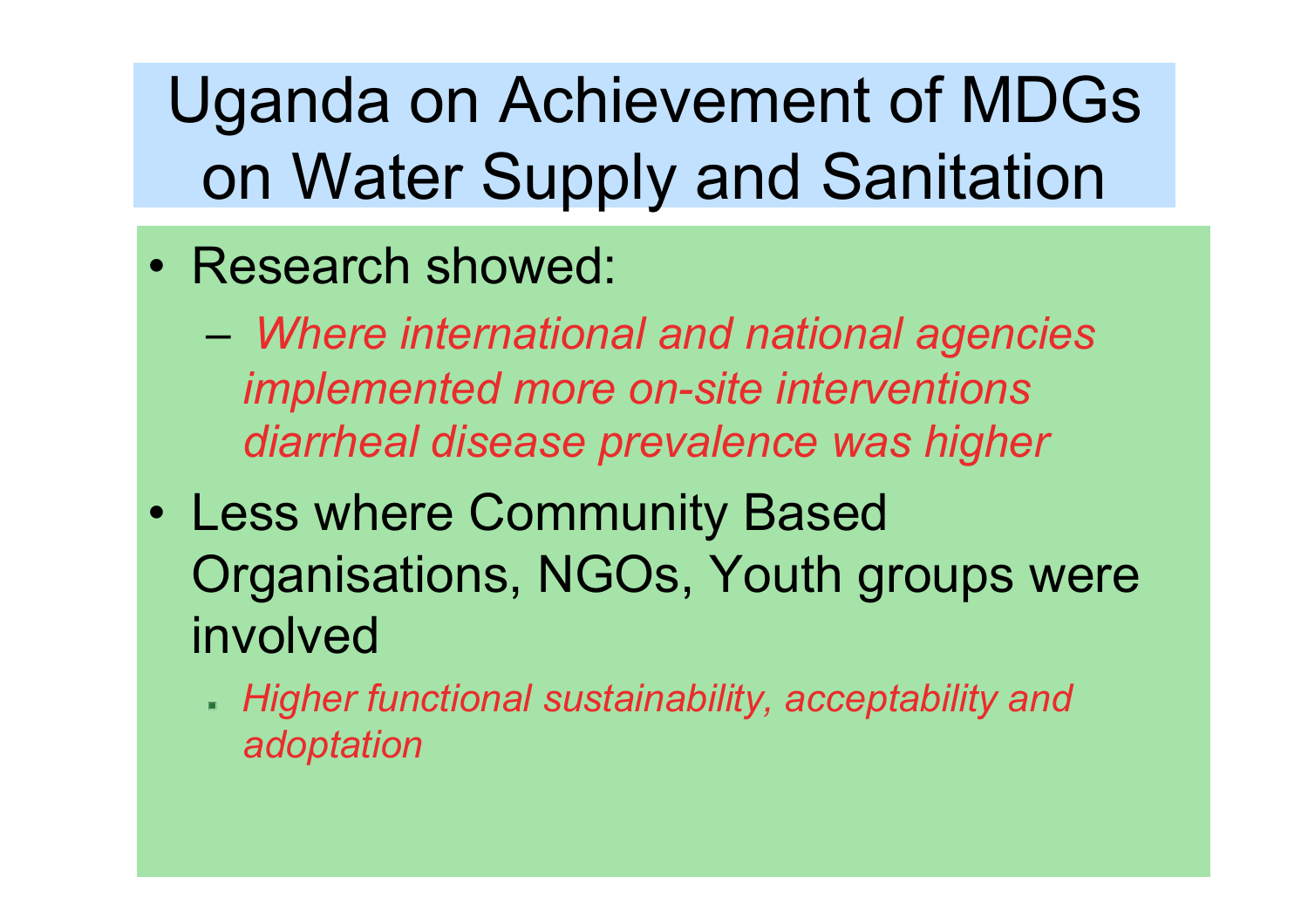Uganda on Achievement of MDGs on Water Supply and Sanitation

- Research showed:
	- *Where international and national agencies implemented more on-site interventions diarrheal disease prevalence was higher*
- Less where Community Based Organisations, NGOs, Youth groups were involved
	- *Higher functional sustainability, acceptability and adoptation*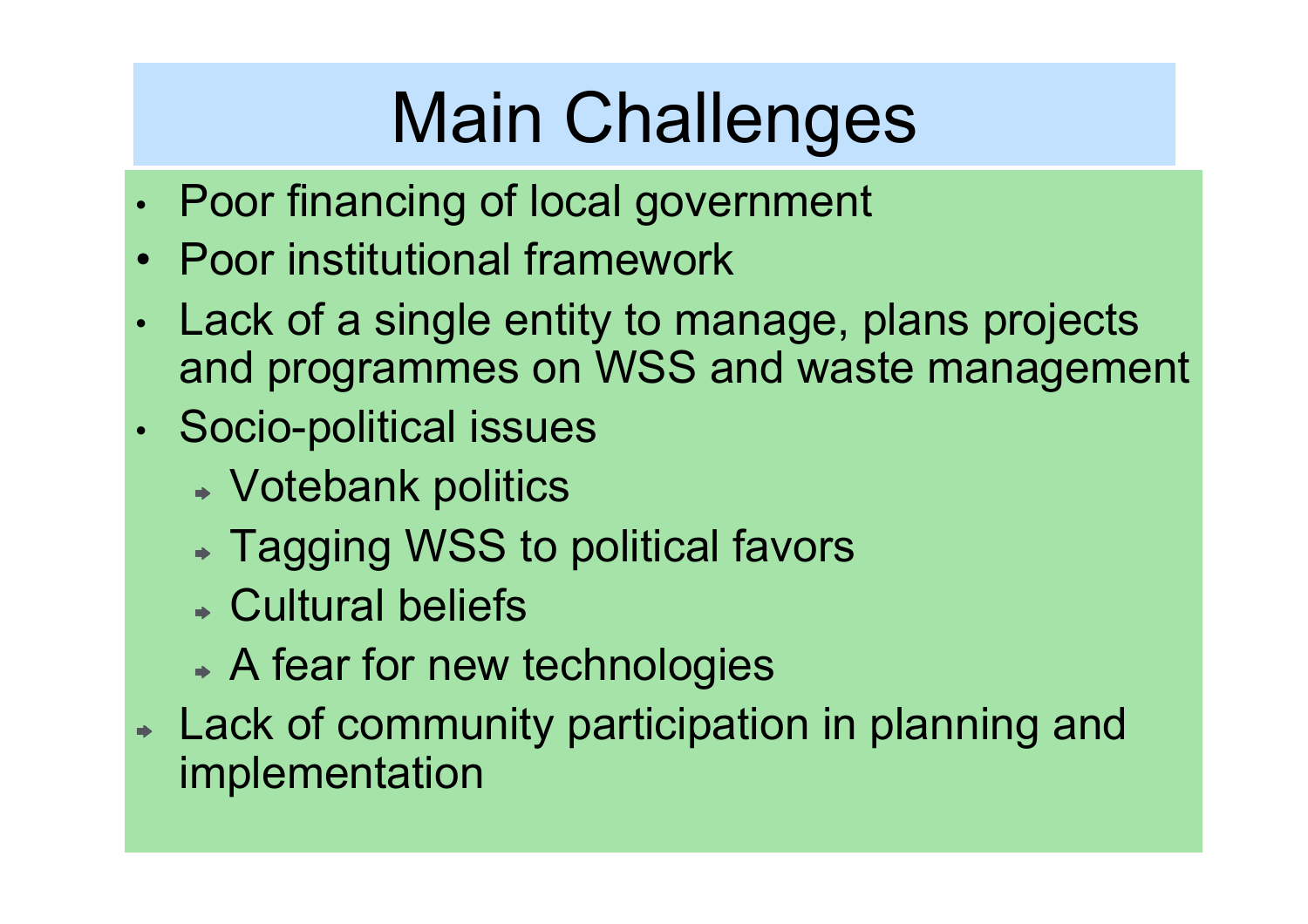## Main Challenges

- Poor financing of local government
- Poor institutional framework
- Lack of a single entity to manage, plans projects and programmes on WSS and waste management
- Socio-political issues
	- Votebank politics
	- Tagging WSS to political favors
	- Cultural beliefs
	- A fear for new technologies
- **► Lack of community participation in planning and** implementation